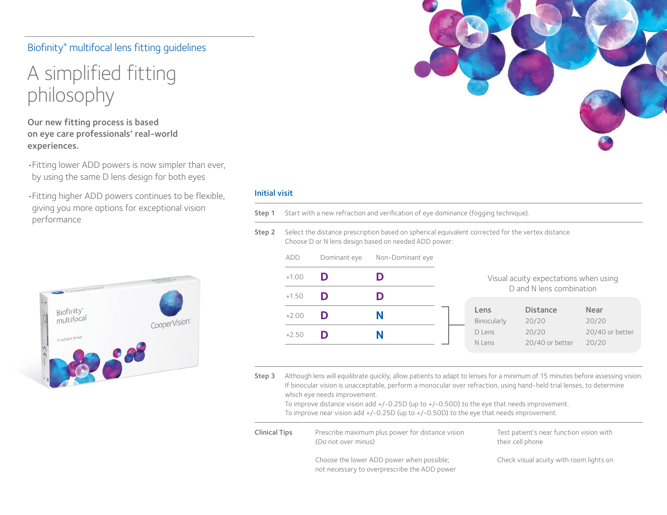## Biofinity® multifocal lens fitting guidelines

# A simplified fitting philosophy

Our new fitting process is based on eye care professionals' real-world experiences.

•Fitting lower ADD powers is now simpler than ever, by using the same D lens design for both eyes

•Fitting higher ADD powers continues to be flexible, giving you more options for exceptional vision performance



#### Initial visit

Step 1 Start with a new refraction and verification of eye dominance (fogging technique).

Step 2 Select the distance prescription based on spherical equivalent corrected for the vertex distance. Choose D or N lens design based on needed ADD power:

| add     | Dominant eye | Non-Dominant eye |
|---------|--------------|------------------|
| $+1.00$ | D            | D                |
| $+1.50$ | D            | D                |
| $+2.00$ | D            | N                |
| $+2.50$ | נו           | N                |
|         |              |                  |

#### Visual acuity expectations when using D and N lens combination

| Lens        | <b>Distance</b> | Near            |
|-------------|-----------------|-----------------|
| Binocularly | 20/20           | 20/20           |
| D Lens      | 20/20           | 20/40 or better |
| N Lens      | 20/40 or better | 20/20           |

Step 3 Although lens will equilibrate quickly, allow patients to adapt to lenses for a minimum of 15 minutes before assessing vision. If binocular vision is unacceptable, perform a monocular over refraction, using hand-held trial lenses, to determine which eye needs improvement.

To improve distance vision add +/-0.25D (up to +/-0.50D) to the eye that needs improvement. To improve near vision add +/-0.25D (up to +/-0.50D) to the eye that needs improvement.

| <b>Clinical Tips</b> | Prescribe maximum plus power for distance vision<br>(Do not over minus)                   | Test patient's near function vision with<br>their cell phone |
|----------------------|-------------------------------------------------------------------------------------------|--------------------------------------------------------------|
|                      | Choose the lower ADD power when possible;<br>not necessary to overprescribe the ADD power | Check visual acuity with room lights on                      |